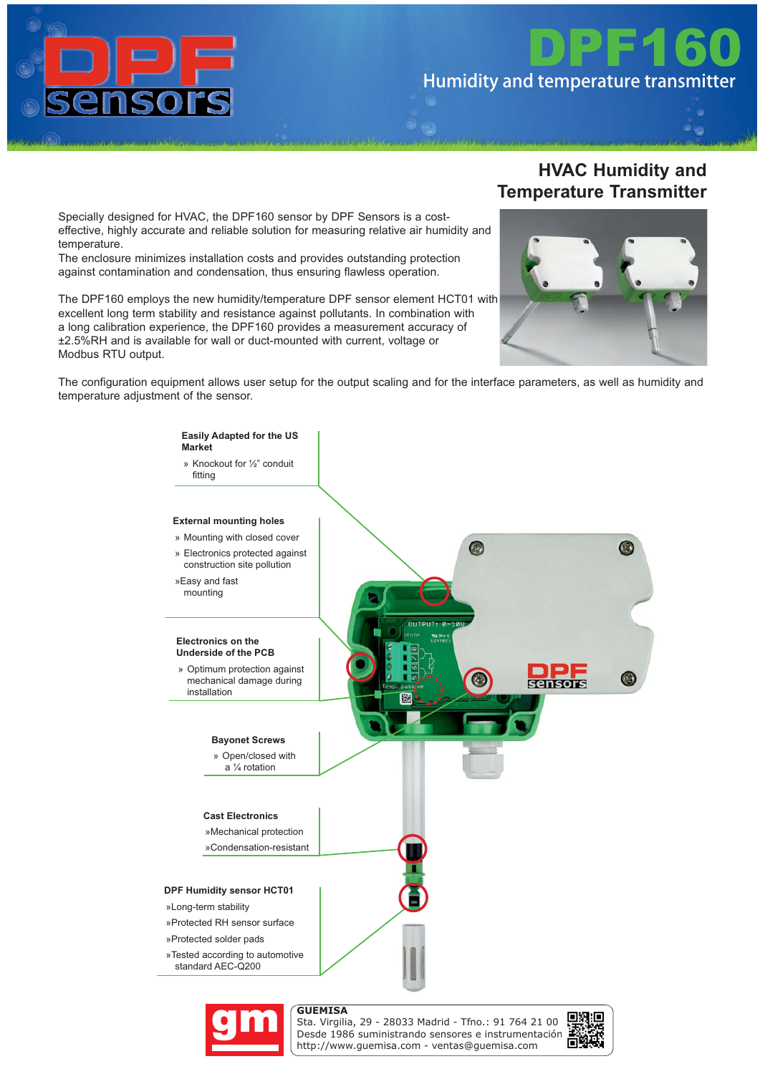

# *DPF160* Humidity and temperature transmitter

Specially designed for HVAC, the DPF160 sensor by DPF Sensors is a costeffective, highly accurate and reliable solution for measuring relative air humidity and temperature.

The enclosure minimizes installation costs and provides outstanding protection against contamination and condensation, thus ensuring flawless operation.

The DPF160 employs the new humidity/temperature DPF sensor element HCT01 with excellent long term stability and resistance against pollutants. In combination with a long calibration experience, the DPF160 provides a measurement accuracy of ±2.5%RH and is available for wall or duct-mounted with current, voltage or Modbus RTU output.

#### **HVAC Humidity and Temperature Transmitter**



The configuration equipment allows user setup for the output scaling and for the interface parameters, as well as humidity and temperature adjustment of the sensor.





Sta. Virgilia, 29 - 28033 Madrid - Tfno.: 91 764 21 00 Desde 1986 suministrando sensores e instrumentación. http://www.guemisa.com - ventas@guemisa.com

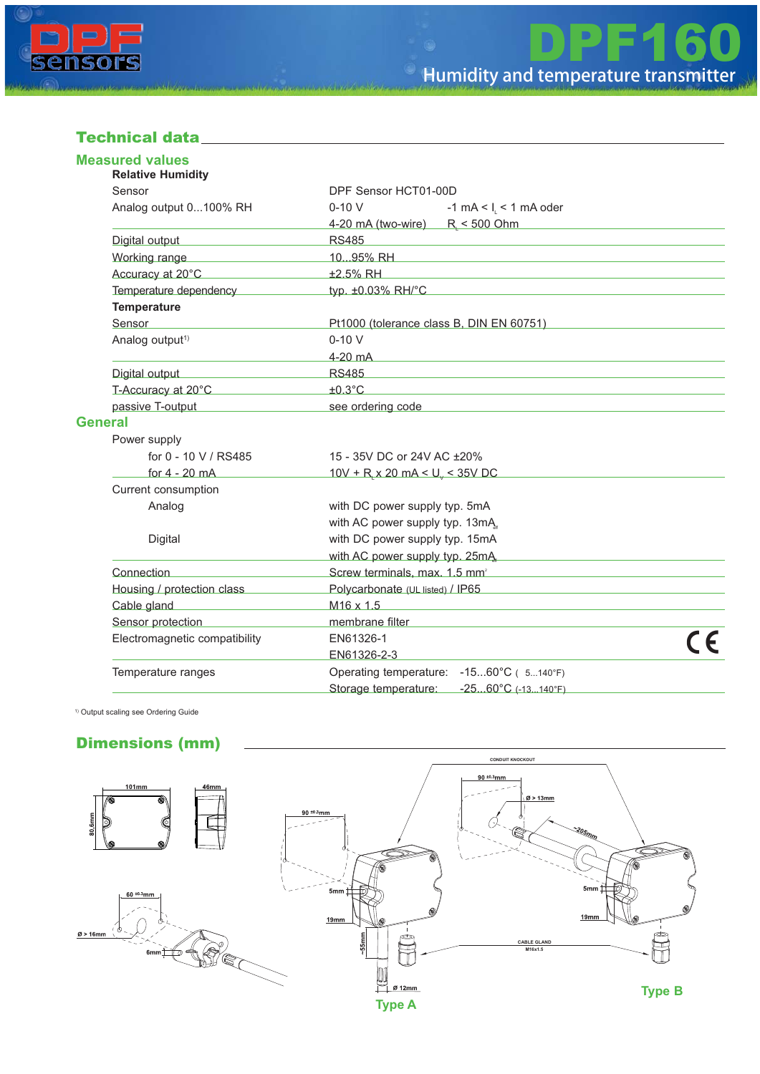

#### *Technical data*

| <b>Measured values</b><br><b>Relative Humidity</b>                                                                                                                                                                                                                         |                                                                                                                                                                                                                                      |  |  |  |  |  |  |
|----------------------------------------------------------------------------------------------------------------------------------------------------------------------------------------------------------------------------------------------------------------------------|--------------------------------------------------------------------------------------------------------------------------------------------------------------------------------------------------------------------------------------|--|--|--|--|--|--|
| Sensor                                                                                                                                                                                                                                                                     | DPF Sensor HCT01-00D                                                                                                                                                                                                                 |  |  |  |  |  |  |
| Analog output 0100% RH                                                                                                                                                                                                                                                     | $0-10V$<br>-1 mA < $I_1$ < 1 mA oder                                                                                                                                                                                                 |  |  |  |  |  |  |
|                                                                                                                                                                                                                                                                            | 4-20 mA (two-wire) R < 500 Ohm                                                                                                                                                                                                       |  |  |  |  |  |  |
| Digital output                                                                                                                                                                                                                                                             | <b>RS485</b><br><u> 1989 - Johann Stein, mars an deutscher Stein und der Stein und der Stein und der Stein und der Stein und der</u>                                                                                                 |  |  |  |  |  |  |
| Working range                                                                                                                                                                                                                                                              |                                                                                                                                                                                                                                      |  |  |  |  |  |  |
| Accuracy at 20°C                                                                                                                                                                                                                                                           | ±2.5% RH                                                                                                                                                                                                                             |  |  |  |  |  |  |
| Temperature dependency                                                                                                                                                                                                                                                     | typ. ±0.03% RH/°C                                                                                                                                                                                                                    |  |  |  |  |  |  |
| <b>Temperature</b>                                                                                                                                                                                                                                                         |                                                                                                                                                                                                                                      |  |  |  |  |  |  |
| Sensor                                                                                                                                                                                                                                                                     | Pt1000 (tolerance class B, DIN EN 60751)                                                                                                                                                                                             |  |  |  |  |  |  |
| Analog output <sup>1)</sup>                                                                                                                                                                                                                                                | $0-10V$                                                                                                                                                                                                                              |  |  |  |  |  |  |
|                                                                                                                                                                                                                                                                            | $4-20$ mA                                                                                                                                                                                                                            |  |  |  |  |  |  |
| Digital output National Action of Digital output                                                                                                                                                                                                                           | <b>RS485</b>                                                                                                                                                                                                                         |  |  |  |  |  |  |
| T-Accuracy at 20°C                                                                                                                                                                                                                                                         | $±0.3$ °C                                                                                                                                                                                                                            |  |  |  |  |  |  |
| passive T-output <b>Example 2014</b>                                                                                                                                                                                                                                       | see ordering code <b>See and Security Contract and Security Contract and Security Contract and Security Contract and Security Contract and Security Contract and Security Contract and Security Contract and Security Contract a</b> |  |  |  |  |  |  |
| <b>General</b>                                                                                                                                                                                                                                                             |                                                                                                                                                                                                                                      |  |  |  |  |  |  |
| Power supply                                                                                                                                                                                                                                                               |                                                                                                                                                                                                                                      |  |  |  |  |  |  |
| for 0 - 10 V / RS485                                                                                                                                                                                                                                                       | 15 - 35V DC or 24V AC ±20%                                                                                                                                                                                                           |  |  |  |  |  |  |
| for $4 - 20$ mA                                                                                                                                                                                                                                                            | $10V + R$ , x 20 mA < U <sub>y</sub> < 35V DC                                                                                                                                                                                        |  |  |  |  |  |  |
| Current consumption                                                                                                                                                                                                                                                        |                                                                                                                                                                                                                                      |  |  |  |  |  |  |
| Analog                                                                                                                                                                                                                                                                     | with DC power supply typ. 5mA                                                                                                                                                                                                        |  |  |  |  |  |  |
|                                                                                                                                                                                                                                                                            | with AC power supply typ. 13mA                                                                                                                                                                                                       |  |  |  |  |  |  |
| Digital                                                                                                                                                                                                                                                                    | with DC power supply typ. 15mA                                                                                                                                                                                                       |  |  |  |  |  |  |
|                                                                                                                                                                                                                                                                            | with AC power supply typ. 25mA                                                                                                                                                                                                       |  |  |  |  |  |  |
| Connection                                                                                                                                                                                                                                                                 | Screw terminals, max. 1.5 mm <sup>2</sup>                                                                                                                                                                                            |  |  |  |  |  |  |
| Housing / protection class                                                                                                                                                                                                                                                 | Polycarbonate (UL listed) / IP65                                                                                                                                                                                                     |  |  |  |  |  |  |
| Cable gland<br>$\mathcal{L}(\mathcal{L}^{\mathcal{L}})$ and $\mathcal{L}^{\mathcal{L}}$ are the set of the set of the set of the set of the set of the set of the set of the set of the set of the set of the set of the set of the set of the set of the set of the set o | $M16 \times 1.5$                                                                                                                                                                                                                     |  |  |  |  |  |  |
| Sensor protection                                                                                                                                                                                                                                                          | membrane filter                                                                                                                                                                                                                      |  |  |  |  |  |  |
| Electromagnetic compatibility                                                                                                                                                                                                                                              | EN61326-1                                                                                                                                                                                                                            |  |  |  |  |  |  |
|                                                                                                                                                                                                                                                                            | EN61326-2-3                                                                                                                                                                                                                          |  |  |  |  |  |  |
| Temperature ranges                                                                                                                                                                                                                                                         | Operating temperature: -1560°C ( 5140°F)                                                                                                                                                                                             |  |  |  |  |  |  |
|                                                                                                                                                                                                                                                                            | Storage temperature: -2560°C (-13140°F)                                                                                                                                                                                              |  |  |  |  |  |  |

1) Output scaling see Ordering Guide

#### *Dimensions (mm)*